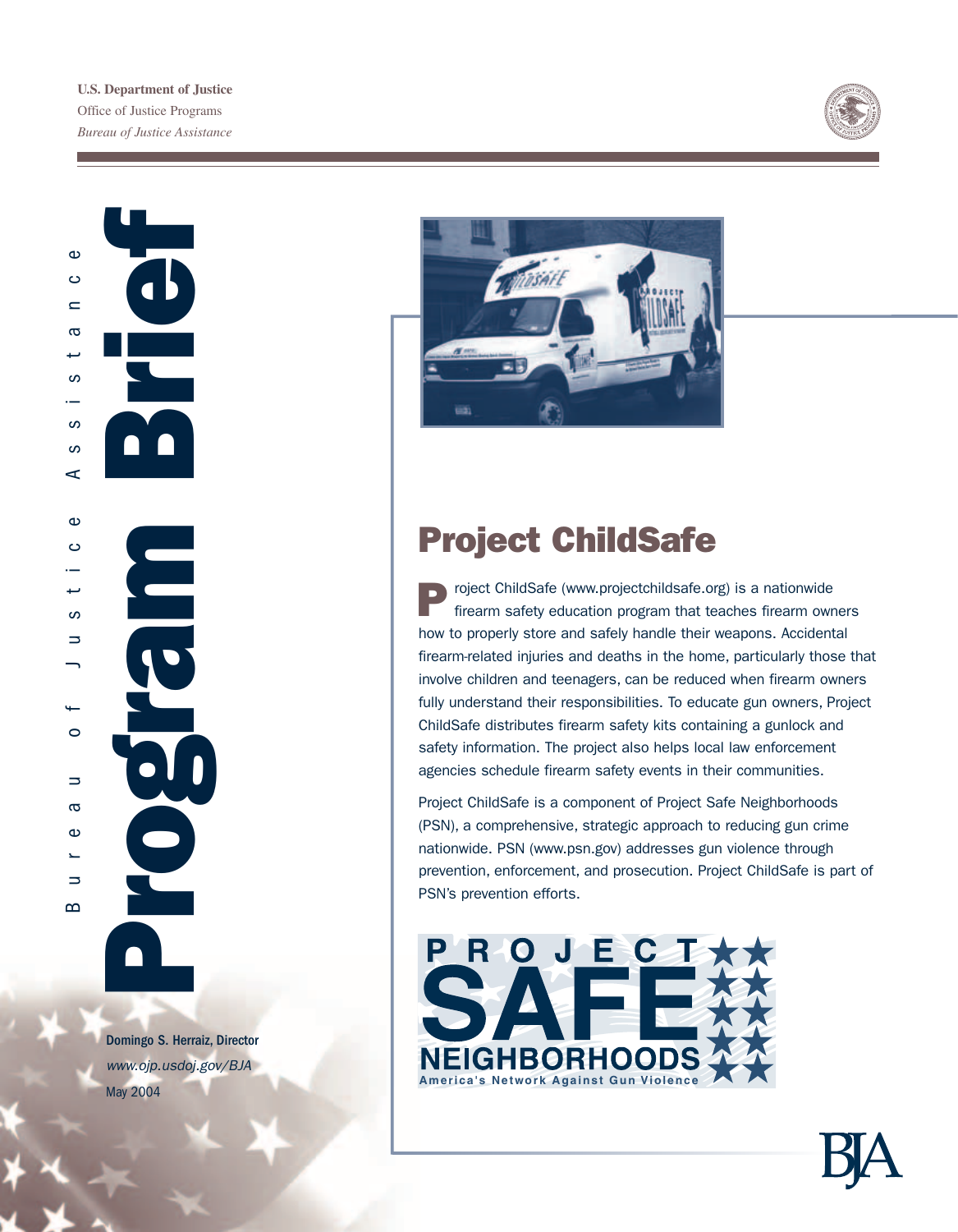



ar j

Domingo S. Herraiz, Director *www.ojp.usdoj.gov/BJA*



# Project ChildSafe

Project ChildSafe (www.projectchildsafe.org) is a nationwide firearm safety education program that teaches firearm owners how to properly store and safely handle their weapons. Accidental firearm-related injuries and deaths in the home, particularly those that involve children and teenagers, can be reduced when firearm owners fully understand their responsibilities. To educate gun owners, Project ChildSafe distributes firearm safety kits containing a gunlock and safety information. The project also helps local law enforcement agencies schedule firearm safety events in their communities.

Project ChildSafe is a component of Project Safe Neighborhoods (PSN), a comprehensive, strategic approach to reducing gun crime nationwide. PSN (www.psn.gov) addresses gun violence through prevention, enforcement, and prosecution. Project ChildSafe is part of PSN's prevention efforts.

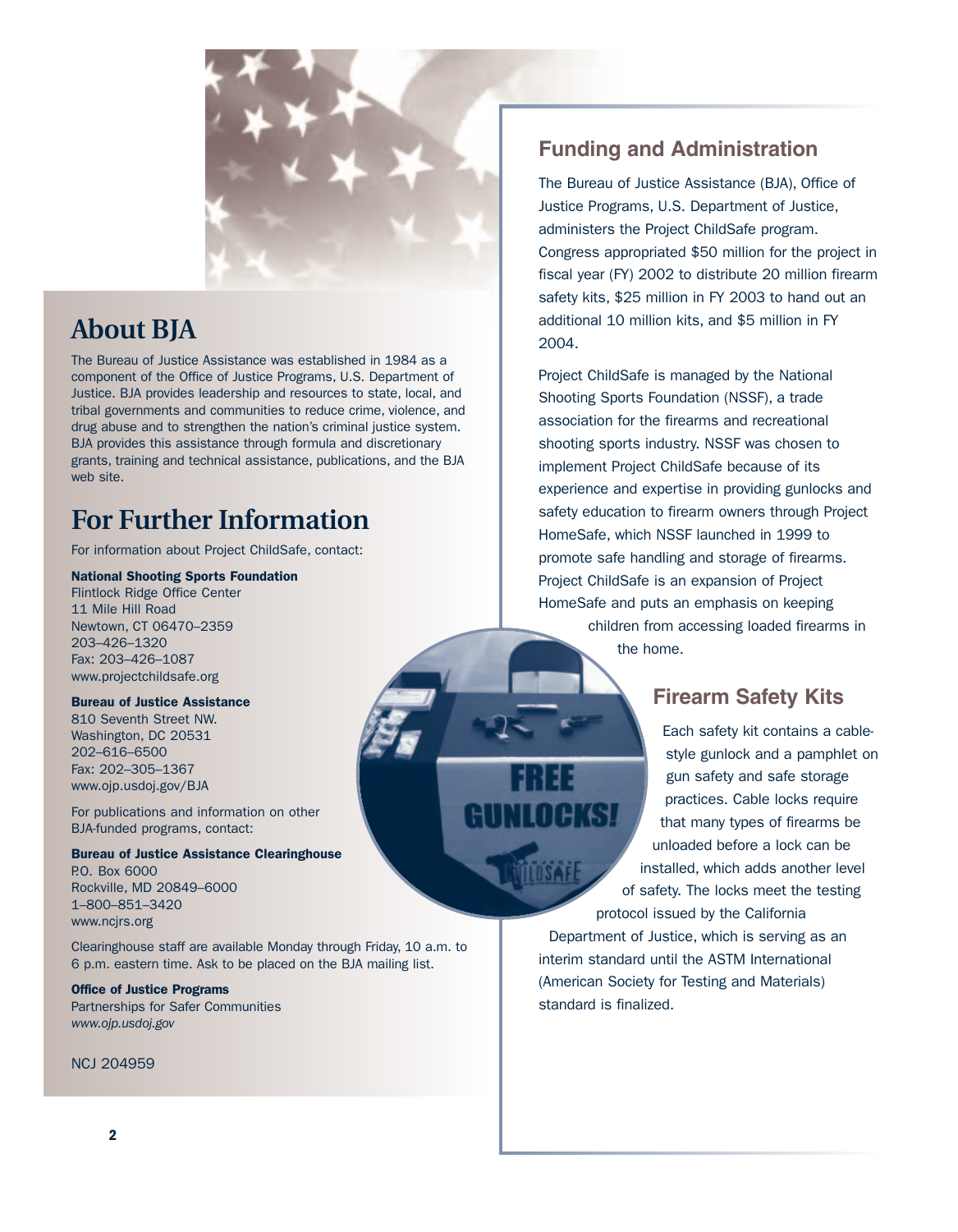

# **About BJA**

The Bureau of Justice Assistance was established in 1984 as a component of the Office of Justice Programs, U.S. Department of Justice. BJA provides leadership and resources to state, local, and tribal governments and communities to reduce crime, violence, and drug abuse and to strengthen the nation's criminal justice system. BJA provides this assistance through formula and discretionary grants, training and technical assistance, publications, and the BJA web site.

# **For Further Information**

For information about Project ChildSafe, contact:

### National Shooting Sports Foundation

Flintlock Ridge Office Center 11 Mile Hill Road Newtown, CT 06470–2359 203–426–1320 Fax: 203–426–1087 www.projectchildsafe.org

### Bureau of Justice Assistance

810 Seventh Street NW. Washington, DC 20531 202–616–6500 Fax: 202–305–1367 www.ojp.usdoj.gov/BJA

For publications and information on other BJA-funded programs, contact:

#### Bureau of Justice Assistance Clearinghouse

P.O. Box 6000 Rockville, MD 20849–6000 1–800–851–3420 www.ncjrs.org

Clearinghouse staff are available Monday through Friday, 10 a.m. to 6 p.m. eastern time. Ask to be placed on the BJA mailing list.

## Office of Justice Programs

Partnerships for Safer Communities *www.ojp.usdoj.gov*

### NCJ 204959

# **Funding and Administration**

The Bureau of Justice Assistance (BJA), Office of Justice Programs, U.S. Department of Justice, administers the Project ChildSafe program. Congress appropriated \$50 million for the project in fiscal year (FY) 2002 to distribute 20 million firearm safety kits, \$25 million in FY 2003 to hand out an additional 10 million kits, and \$5 million in FY 2004.

Project ChildSafe is managed by the National Shooting Sports Foundation (NSSF), a trade association for the firearms and recreational shooting sports industry. NSSF was chosen to implement Project ChildSafe because of its experience and expertise in providing gunlocks and safety education to firearm owners through Project HomeSafe, which NSSF launched in 1999 to promote safe handling and storage of firearms. Project ChildSafe is an expansion of Project HomeSafe and puts an emphasis on keeping children from accessing loaded firearms in

the home.

## **Firearm Safety Kits**

Each safety kit contains a cablestyle gunlock and a pamphlet on gun safety and safe storage practices. Cable locks require that many types of firearms be unloaded before a lock can be installed, which adds another level of safety. The locks meet the testing protocol issued by the California

Department of Justice, which is serving as an interim standard until the ASTM International (American Society for Testing and Materials) standard is finalized.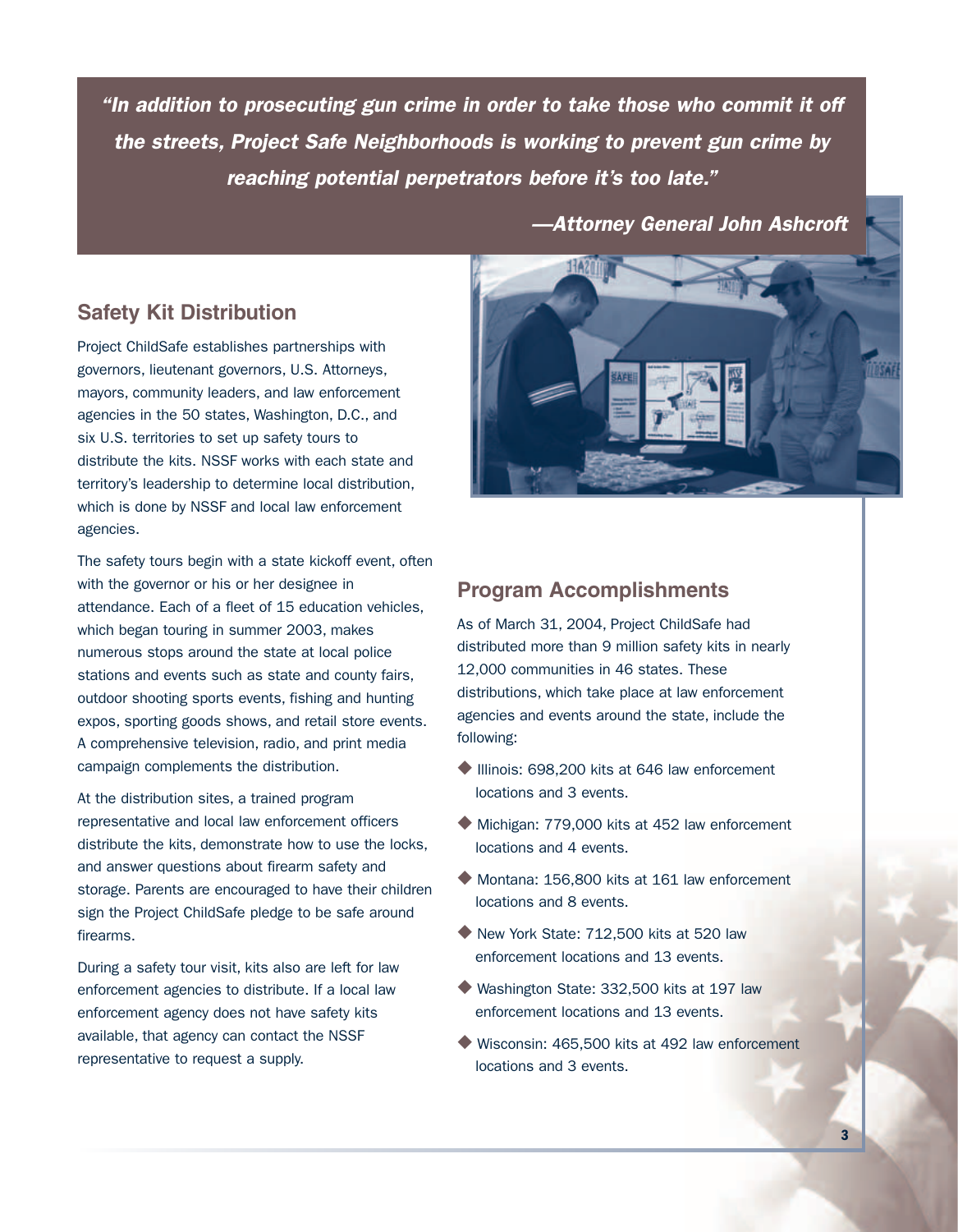*"In addition to prosecuting gun crime in order to take those who commit it off the streets, Project Safe Neighborhoods is working to prevent gun crime by reaching potential perpetrators before it's too late."*

*—Attorney General John Ashcroft*

## **Safety Kit Distribution**

Project ChildSafe establishes partnerships with governors, lieutenant governors, U.S. Attorneys, mayors, community leaders, and law enforcement agencies in the 50 states, Washington, D.C., and six U.S. territories to set up safety tours to distribute the kits. NSSF works with each state and territory's leadership to determine local distribution, which is done by NSSF and local law enforcement agencies.

The safety tours begin with a state kickoff event, often with the governor or his or her designee in attendance. Each of a fleet of 15 education vehicles, which began touring in summer 2003, makes numerous stops around the state at local police stations and events such as state and county fairs, outdoor shooting sports events, fishing and hunting expos, sporting goods shows, and retail store events. A comprehensive television, radio, and print media campaign complements the distribution.

At the distribution sites, a trained program representative and local law enforcement officers distribute the kits, demonstrate how to use the locks, and answer questions about firearm safety and storage. Parents are encouraged to have their children sign the Project ChildSafe pledge to be safe around firearms.

During a safety tour visit, kits also are left for law enforcement agencies to distribute. If a local law enforcement agency does not have safety kits available, that agency can contact the NSSF representative to request a supply.



## **Program Accomplishments**

As of March 31, 2004, Project ChildSafe had distributed more than 9 million safety kits in nearly 12,000 communities in 46 states. These distributions, which take place at law enforcement agencies and events around the state, include the following:

- ◆ Illinois: 698,200 kits at 646 law enforcement locations and 3 events.
- ◆ Michigan: 779,000 kits at 452 law enforcement locations and 4 events.
- ◆ Montana: 156,800 kits at 161 law enforcement locations and 8 events.
- ◆ New York State: 712,500 kits at 520 law enforcement locations and 13 events.
- ◆ Washington State: 332,500 kits at 197 law enforcement locations and 13 events.
- ◆ Wisconsin: 465,500 kits at 492 law enforcement locations and 3 events.